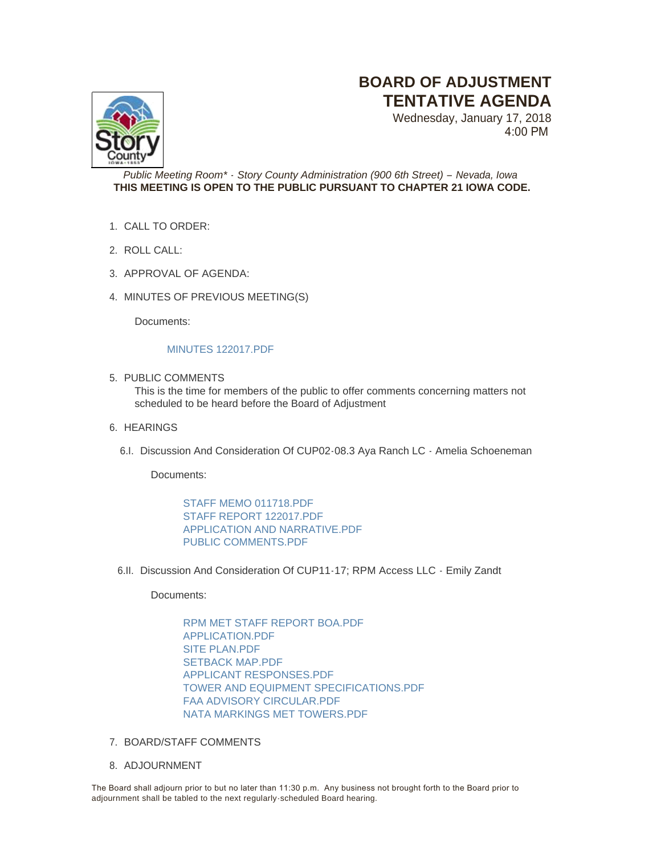## **BOARD OF ADJUSTMENT TENTATIVE AGENDA**

Wednesday, January 17, 2018 4:00 PM



## *Public Meeting Room\* - Story County Administration (900 6th Street) – Nevada, Iowa* **THIS MEETING IS OPEN TO THE PUBLIC PURSUANT TO CHAPTER 21 IOWA CODE.**

- CALL TO ORDER: 1.
- ROLL CALL: 2.
- 3. APPROVAL OF AGENDA:
- 4. MINUTES OF PREVIOUS MEETING(S)

Documents:

## [MINUTES 122017.PDF](http://www.storycountyiowa.gov/AgendaCenter/ViewFile/Item/10855?fileID=7851)

5. PUBLIC COMMENTS

This is the time for members of the public to offer comments concerning matters not scheduled to be heard before the Board of Adjustment

- 6. HEARINGS
	- 6.I. Discussion And Consideration Of CUP02-08.3 Aya Ranch LC Amelia Schoeneman

Documents:

[STAFF MEMO 011718.PDF](http://www.storycountyiowa.gov/AgendaCenter/ViewFile/Item/11103?fileID=7852) [STAFF REPORT 122017.PDF](http://www.storycountyiowa.gov/AgendaCenter/ViewFile/Item/11103?fileID=7841) [APPLICATION AND NARRATIVE.PDF](http://www.storycountyiowa.gov/AgendaCenter/ViewFile/Item/11103?fileID=7838) [PUBLIC COMMENTS.PDF](http://www.storycountyiowa.gov/AgendaCenter/ViewFile/Item/11103?fileID=7839)

6.II. Discussion And Consideration Of CUP11-17; RPM Access LLC - Emily Zandt

Documents:

[RPM MET STAFF REPORT BOA.PDF](http://www.storycountyiowa.gov/AgendaCenter/ViewFile/Item/11104?fileID=7842) [APPLICATION.PDF](http://www.storycountyiowa.gov/AgendaCenter/ViewFile/Item/11104?fileID=7849) [SITE PLAN.PDF](http://www.storycountyiowa.gov/AgendaCenter/ViewFile/Item/11104?fileID=7847) SETBACK MAP PDF [APPLICANT RESPONSES.PDF](http://www.storycountyiowa.gov/AgendaCenter/ViewFile/Item/11104?fileID=7843) [TOWER AND EQUIPMENT SPECIFICATIONS.PDF](http://www.storycountyiowa.gov/AgendaCenter/ViewFile/Item/11104?fileID=7848) [FAA ADVISORY CIRCULAR.PDF](http://www.storycountyiowa.gov/AgendaCenter/ViewFile/Item/11104?fileID=7844) [NATA MARKINGS MET TOWERS.PDF](http://www.storycountyiowa.gov/AgendaCenter/ViewFile/Item/11104?fileID=7845)

- 7. BOARD/STAFF COMMENTS
- 8. ADJOURNMENT

The Board shall adjourn prior to but no later than 11:30 p.m. Any business not brought forth to the Board prior to adjournment shall be tabled to the next regularly -scheduled Board hearing.